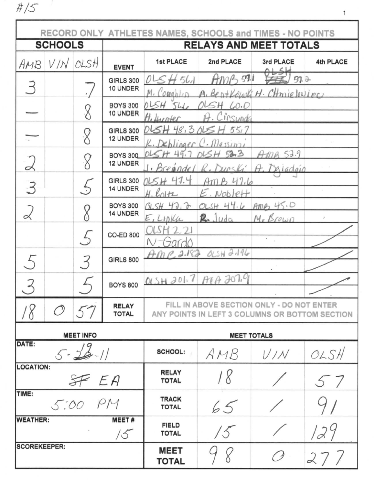$# / 5$ 

|                           |                                        |                          |                              | RECORD ONLY ATHLETES NAMES, SCHOOLS and TIMES - NO POINTS |                                  |                                                                                             |           |
|---------------------------|----------------------------------------|--------------------------|------------------------------|-----------------------------------------------------------|----------------------------------|---------------------------------------------------------------------------------------------|-----------|
| <b>SCHOOLS</b>            |                                        |                          |                              | <b>RELAYS AND MEET TOTALS</b>                             |                                  |                                                                                             |           |
| AMB                       | V/N                                    | OLSH                     | <b>EVENT</b>                 | 1st PLACE                                                 | 2nd PLACE                        | 3rd PLACE                                                                                   | 4th PLACE |
| $\supseteq$               |                                        |                          | <b>GIRLS 300</b><br>10 UNDER | H 561<br>Oι<br>$'$ <i>Ottahlin</i>                        | 571<br>$H M^{\mu}$               | 57.2<br>M. Bentlaugh H. CHmielesincs                                                        |           |
|                           |                                        |                          | <b>BOYS 300</b><br>10 UNDER  | OLSH 546<br>H. Hunter                                     | OLSH 60.0<br>A. Cinsunds         |                                                                                             |           |
|                           |                                        |                          | <b>GIRLS 300</b><br>12 UNDER | 015H48.3015H55.7<br>$k.$ Dehlinger $C.$ Messini           |                                  |                                                                                             |           |
| $\alpha$                  |                                        |                          | <b>BOYS 300</b><br>12 UNDER  | $015H$ 49.7 $015H$ 53.3                                   | · Breandel R. Dunski             | 53.9<br>A. Daladoic                                                                         |           |
| $\mathcal{Z}$             |                                        |                          | <b>GIRLS 300</b><br>14 UNDER | 715H47.4<br>$H.$ Boltz                                    | AmB47.6<br>$5.$ Noblett          |                                                                                             |           |
|                           |                                        |                          | <b>BOYS 300</b><br>14 UNDER  | $GLSH$ 42.2<br>E, L10 U                                   | OLSH 44.6 AMPS 45.0<br>$R$ -Juda | M.Erown                                                                                     |           |
|                           |                                        | $\overline{\phantom{a}}$ | <b>CO-ED 800</b>             |                                                           |                                  | $\bullet$                                                                                   |           |
|                           |                                        |                          | <b>GIRLS 800</b>             | $A$ MP 2.182                                              | $OLSH$ <sub>2</sub> ,196         |                                                                                             |           |
|                           |                                        |                          | <b>BOYS 800</b>              | OLSH 201.7 ATA 207.9                                      |                                  |                                                                                             |           |
|                           |                                        | 57                       | <b>RELAY</b><br><b>TOTAL</b> |                                                           |                                  | FILL IN ABOVE SECTION ONLY - DO NOT ENTER<br>ANY POINTS IN LEFT 3 COLUMNS OR BOTTOM SECTION |           |
|                           | <b>MEET INFO</b><br><b>MEET TOTALS</b> |                          |                              |                                                           |                                  |                                                                                             |           |
| DATE:<br>$5 - 28 - 11$    |                                        |                          | <b>SCHOOL:</b>               | AMB                                                       | V/N                              | OLSH                                                                                        |           |
| <b>LOCATION:</b><br>SF EA |                                        |                          | <b>RELAY</b><br><b>TOTAL</b> | 18                                                        |                                  | 57                                                                                          |           |
| TIME:<br>5:00 PM          |                                        |                          | <b>TRACK</b><br><b>TOTAL</b> | 65                                                        |                                  |                                                                                             |           |
| <b>WEATHER:</b>           |                                        |                          | MEET#<br>15                  | <b>FIELD</b><br><b>TOTAL</b>                              | 15                               |                                                                                             | 129       |
| <b>SCOREKEEPER:</b>       |                                        |                          | <b>MEET</b><br><b>TOTAL</b>  |                                                           | ∕ }                              | 27/                                                                                         |           |

 $\mathbf 1$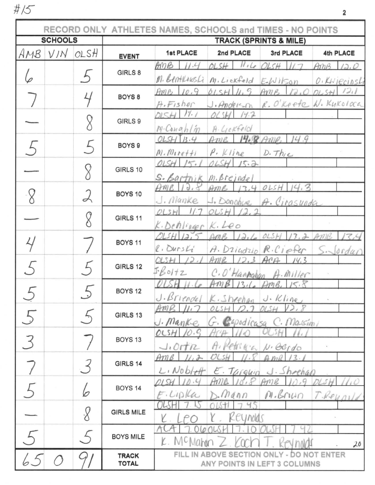$\#/\!\!\!\!\!\!\!\!/$ 

| <b>SCHOOLS</b> |              |                          |                                                                                                                                                                                                                                                                                                                                                                                                                                                                                                                                                                                                                                                                                                                                                                                                                                                                                                                                                                                                                                           | <b>TRACK (SPRINTS &amp; MILE)</b> |                                           |                |                            |  |
|----------------|--------------|--------------------------|-------------------------------------------------------------------------------------------------------------------------------------------------------------------------------------------------------------------------------------------------------------------------------------------------------------------------------------------------------------------------------------------------------------------------------------------------------------------------------------------------------------------------------------------------------------------------------------------------------------------------------------------------------------------------------------------------------------------------------------------------------------------------------------------------------------------------------------------------------------------------------------------------------------------------------------------------------------------------------------------------------------------------------------------|-----------------------------------|-------------------------------------------|----------------|----------------------------|--|
|                | AMB VIN OLSH |                          | <b>EVENT</b>                                                                                                                                                                                                                                                                                                                                                                                                                                                                                                                                                                                                                                                                                                                                                                                                                                                                                                                                                                                                                              | <b>1st PLACE</b>                  | 2nd PLACE                                 | 3rd PLACE      | 4th PLACE                  |  |
|                |              |                          |                                                                                                                                                                                                                                                                                                                                                                                                                                                                                                                                                                                                                                                                                                                                                                                                                                                                                                                                                                                                                                           | AMB<br>11.4                       | OLSH                                      | 117            | AmB<br>12.0                |  |
|                |              |                          |                                                                                                                                                                                                                                                                                                                                                                                                                                                                                                                                                                                                                                                                                                                                                                                                                                                                                                                                                                                                                                           |                                   |                                           |                | O. Kwiecinski              |  |
|                |              |                          | RECORD ONLY ATHLETES NAMES, SCHOOLS and TIMES - NO POINTS<br>11.40065H<br>GIRLS 8<br>M. BentlewsLi M. Lickfeld E.Wilson<br>10.9<br>OLSH $11.5$<br>AmB<br>12.0<br>Ame<br>BOYS <sub>8</sub><br>J. Anderson R. O'Keete W. Kykoloca<br>A.Fisher<br>$015H$ 19.1<br>$0LSM$ 14.2<br>GIRLS 9<br>M.Conghlm<br>A. GORFeld<br>Ame 14.8 Ame<br>OLSHTB.4<br>14.9<br>BOYS <sub>9</sub><br>$P.$ Kline<br>$M.$ $M$ <sub>r</sub> $ref$ $+i$<br>$D.$ Thie<br>15.1<br>OLSH<br>OLSH $15.3$<br>GIRLS 10<br>S. Bartnik M. Breindel<br>$AmB$ 13,4 OLSH<br>14.3<br>AmB13.8<br>BOYS 10<br>$J.$ Manke<br>1. Donohue A. Cirasunda<br>$OLSH$ $1/7$<br>OLSH12.2<br>GIRLS 11<br>K. Denlinger K. Leo<br>AMB 12, 6 OLSH 13.2<br>OLSHI3.5<br>BOYS <sub>11</sub><br>$l.$ Durs $Li$<br>A. Drindrip R. Ciefer<br>Ame<br>$12.3$ ACA<br>OLSH<br>14.3<br>GIRLS 12<br>$I\text{-}\beta$ oltz<br>C. O'Hanpahan A. Miller<br>AmB<br>13.6<br>$DMB$ ,<br>15.8<br><b>BOYS 12</b><br>J. Briendel K. Shrehan J. Kline<br>OLSH<br>OLSH<br>GIRLS 13<br>G. Capedicasa C. Massimi<br>J. Manke | 1211<br>DLSH                      |                                           |                |                            |  |
|                |              |                          |                                                                                                                                                                                                                                                                                                                                                                                                                                                                                                                                                                                                                                                                                                                                                                                                                                                                                                                                                                                                                                           |                                   |                                           |                |                            |  |
|                |              |                          |                                                                                                                                                                                                                                                                                                                                                                                                                                                                                                                                                                                                                                                                                                                                                                                                                                                                                                                                                                                                                                           |                                   |                                           |                |                            |  |
|                |              | $\overline{a}$           |                                                                                                                                                                                                                                                                                                                                                                                                                                                                                                                                                                                                                                                                                                                                                                                                                                                                                                                                                                                                                                           |                                   |                                           |                |                            |  |
|                |              |                          |                                                                                                                                                                                                                                                                                                                                                                                                                                                                                                                                                                                                                                                                                                                                                                                                                                                                                                                                                                                                                                           |                                   |                                           |                |                            |  |
|                |              |                          |                                                                                                                                                                                                                                                                                                                                                                                                                                                                                                                                                                                                                                                                                                                                                                                                                                                                                                                                                                                                                                           |                                   |                                           |                |                            |  |
|                |              | 2                        |                                                                                                                                                                                                                                                                                                                                                                                                                                                                                                                                                                                                                                                                                                                                                                                                                                                                                                                                                                                                                                           |                                   |                                           |                |                            |  |
|                |              |                          |                                                                                                                                                                                                                                                                                                                                                                                                                                                                                                                                                                                                                                                                                                                                                                                                                                                                                                                                                                                                                                           |                                   |                                           |                |                            |  |
|                |              |                          |                                                                                                                                                                                                                                                                                                                                                                                                                                                                                                                                                                                                                                                                                                                                                                                                                                                                                                                                                                                                                                           |                                   |                                           |                |                            |  |
|                |              |                          |                                                                                                                                                                                                                                                                                                                                                                                                                                                                                                                                                                                                                                                                                                                                                                                                                                                                                                                                                                                                                                           |                                   |                                           |                | AMB<br>$S - \text{Jordan}$ |  |
|                |              |                          |                                                                                                                                                                                                                                                                                                                                                                                                                                                                                                                                                                                                                                                                                                                                                                                                                                                                                                                                                                                                                                           |                                   |                                           |                |                            |  |
|                |              |                          |                                                                                                                                                                                                                                                                                                                                                                                                                                                                                                                                                                                                                                                                                                                                                                                                                                                                                                                                                                                                                                           |                                   |                                           |                |                            |  |
|                |              |                          |                                                                                                                                                                                                                                                                                                                                                                                                                                                                                                                                                                                                                                                                                                                                                                                                                                                                                                                                                                                                                                           |                                   |                                           |                |                            |  |
|                |              |                          |                                                                                                                                                                                                                                                                                                                                                                                                                                                                                                                                                                                                                                                                                                                                                                                                                                                                                                                                                                                                                                           |                                   |                                           |                |                            |  |
|                |              |                          |                                                                                                                                                                                                                                                                                                                                                                                                                                                                                                                                                                                                                                                                                                                                                                                                                                                                                                                                                                                                                                           |                                   |                                           |                |                            |  |
|                |              |                          | BOYS <sub>13</sub>                                                                                                                                                                                                                                                                                                                                                                                                                                                                                                                                                                                                                                                                                                                                                                                                                                                                                                                                                                                                                        | OCSH<br>$J.$ Ort $R$              |                                           | $N.$ Berdo     |                            |  |
|                |              |                          | GIRLS 14                                                                                                                                                                                                                                                                                                                                                                                                                                                                                                                                                                                                                                                                                                                                                                                                                                                                                                                                                                                                                                  | $Am\ell$                          |                                           | 12             |                            |  |
|                |              |                          |                                                                                                                                                                                                                                                                                                                                                                                                                                                                                                                                                                                                                                                                                                                                                                                                                                                                                                                                                                                                                                           | $L_1N_0b/dt$                      | E. Targuir                                | J. Shoehar     |                            |  |
|                |              | b                        | <b>BOYS 14</b>                                                                                                                                                                                                                                                                                                                                                                                                                                                                                                                                                                                                                                                                                                                                                                                                                                                                                                                                                                                                                            | F.LIDKu                           | Inann                                     | , 9<br>M.Briun | $T$ . Reynold              |  |
|                |              | $\overline{\mathcal{S}}$ | <b>GIRLS MILE</b>                                                                                                                                                                                                                                                                                                                                                                                                                                                                                                                                                                                                                                                                                                                                                                                                                                                                                                                                                                                                                         |                                   |                                           |                |                            |  |
|                |              |                          |                                                                                                                                                                                                                                                                                                                                                                                                                                                                                                                                                                                                                                                                                                                                                                                                                                                                                                                                                                                                                                           |                                   | Reynolds                                  |                |                            |  |
|                |              |                          | <b>BOYS MILE</b>                                                                                                                                                                                                                                                                                                                                                                                                                                                                                                                                                                                                                                                                                                                                                                                                                                                                                                                                                                                                                          |                                   |                                           |                | 20                         |  |
|                |              |                          | <b>TRACK</b>                                                                                                                                                                                                                                                                                                                                                                                                                                                                                                                                                                                                                                                                                                                                                                                                                                                                                                                                                                                                                              |                                   | FILL IN ABOVE SECTION ONLY - DO NOT ENTER |                |                            |  |
|                |              |                          | <b>TOTAL</b>                                                                                                                                                                                                                                                                                                                                                                                                                                                                                                                                                                                                                                                                                                                                                                                                                                                                                                                                                                                                                              |                                   | ANY POINTS IN LEFT 3 COLUMNS              |                |                            |  |